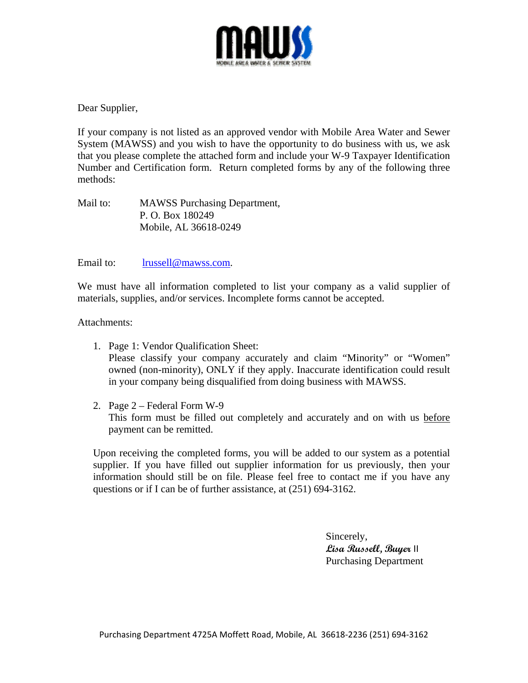

Dear Supplier,

If your company is not listed as an approved vendor with Mobile Area Water and Sewer System (MAWSS) and you wish to have the opportunity to do business with us, we ask that you please complete the attached form and include your W-9 Taxpayer Identification Number and Certification form. Return completed forms by any of the following three methods:

Mail to: MAWSS Purchasing Department, P. O. Box 180249 Mobile, AL 36618-0249

## Email to: lrussell@mawss.com.

We must have all information completed to list your company as a valid supplier of materials, supplies, and/or services. Incomplete forms cannot be accepted.

Attachments:

- 1. Page 1: Vendor Qualification Sheet: Please classify your company accurately and claim "Minority" or "Women" owned (non-minority), ONLY if they apply. Inaccurate identification could result in your company being disqualified from doing business with MAWSS.
- 2. Page 2 Federal Form W-9 This form must be filled out completely and accurately and on with us before payment can be remitted.

Upon receiving the completed forms, you will be added to our system as a potential supplier. If you have filled out supplier information for us previously, then your information should still be on file. Please feel free to contact me if you have any questions or if I can be of further assistance, at (251) 694-3162.

> Sincerely, **Lisa Russell, Buyer** II Purchasing Department